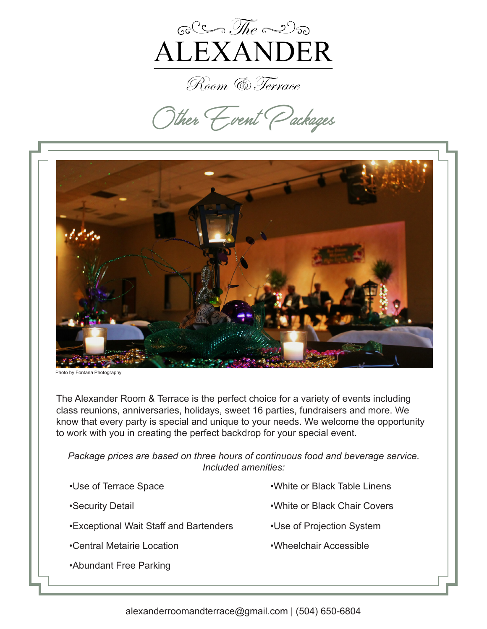

Room & Terrace

**Other Event Packages**



Photo by Fontana Photography

The Alexander Room & Terrace is the perfect choice for a variety of events including class reunions, anniversaries, holidays, sweet 16 parties, fundraisers and more. We know that every party is special and unique to your needs. We welcome the opportunity to work with you in creating the perfect backdrop for your special event.

*Package prices are based on three hours of continuous food and beverage service. Included amenities:* 

| •Use of Terrace Space                  | •White or Black Table Linens |
|----------------------------------------|------------------------------|
| •Security Detail                       | .White or Black Chair Covers |
| •Exceptional Wait Staff and Bartenders | •Use of Projection System    |
| •Central Metairie Location             | •Wheelchair Accessible       |
| •Abundant Free Parking                 |                              |
|                                        |                              |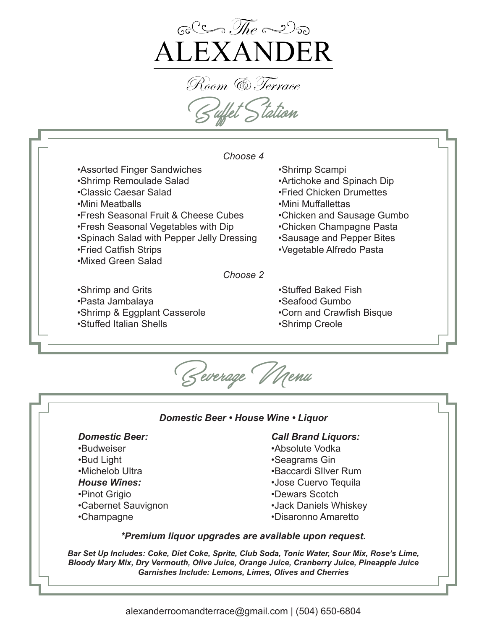

Room (6). Texxace **Buffet Station**



**Beverage Menu** 

### *Domestic Beer • House Wine • Liquor*

# *Domestic Beer:*

- •Budweiser
- •Bud Light
- •Michelob Ultra
- *House Wines:*
- •Pinot Grigio
- •Cabernet Sauvignon
- •Champagne

### *Call Brand Liquors:*

- •Absolute Vodka
- •Seagrams Gin
- •Baccardi SIlver Rum
- •Jose Cuervo Tequila
- •Dewars Scotch
- •Jack Daniels Whiskey
- •Disaronno Amaretto

### *\*Premium liquor upgrades are available upon request.*

*Bar Set Up Includes: Coke, Diet Coke, Sprite, Club Soda, Tonic Water, Sour Mix, Rose's Lime, Bloody Mary Mix, Dry Vermouth, Olive Juice, Orange Juice, Cranberry Juice, Pineapple Juice Garnishes Include: Lemons, Limes, Olives and Cherries*